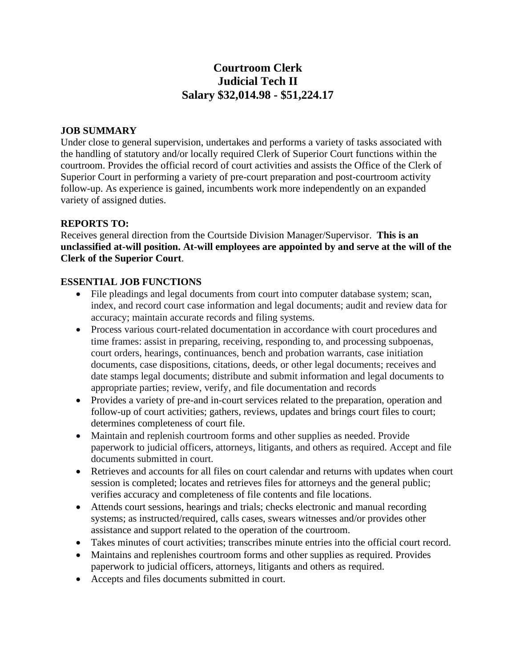# **Courtroom Clerk Judicial Tech II Salary \$32,014.98 - \$51,224.17**

### **JOB SUMMARY**

Under close to general supervision, undertakes and performs a variety of tasks associated with the handling of statutory and/or locally required Clerk of Superior Court functions within the courtroom. Provides the official record of court activities and assists the Office of the Clerk of Superior Court in performing a variety of pre-court preparation and post-courtroom activity follow-up. As experience is gained, incumbents work more independently on an expanded variety of assigned duties.

### **REPORTS TO:**

Receives general direction from the Courtside Division Manager/Supervisor. **This is an unclassified at-will position. At-will employees are appointed by and serve at the will of the Clerk of the Superior Court**.

### **ESSENTIAL JOB FUNCTIONS**

- File pleadings and legal documents from court into computer database system; scan, index, and record court case information and legal documents; audit and review data for accuracy; maintain accurate records and filing systems.
- Process various court-related documentation in accordance with court procedures and time frames: assist in preparing, receiving, responding to, and processing subpoenas, court orders, hearings, continuances, bench and probation warrants, case initiation documents, case dispositions, citations, deeds, or other legal documents; receives and date stamps legal documents; distribute and submit information and legal documents to appropriate parties; review, verify, and file documentation and records
- Provides a variety of pre-and in-court services related to the preparation, operation and follow-up of court activities; gathers, reviews, updates and brings court files to court; determines completeness of court file.
- Maintain and replenish courtroom forms and other supplies as needed. Provide paperwork to judicial officers, attorneys, litigants, and others as required. Accept and file documents submitted in court.
- Retrieves and accounts for all files on court calendar and returns with updates when court session is completed; locates and retrieves files for attorneys and the general public; verifies accuracy and completeness of file contents and file locations.
- Attends court sessions, hearings and trials; checks electronic and manual recording systems; as instructed/required, calls cases, swears witnesses and/or provides other assistance and support related to the operation of the courtroom.
- Takes minutes of court activities; transcribes minute entries into the official court record.
- Maintains and replenishes courtroom forms and other supplies as required. Provides paperwork to judicial officers, attorneys, litigants and others as required.
- Accepts and files documents submitted in court.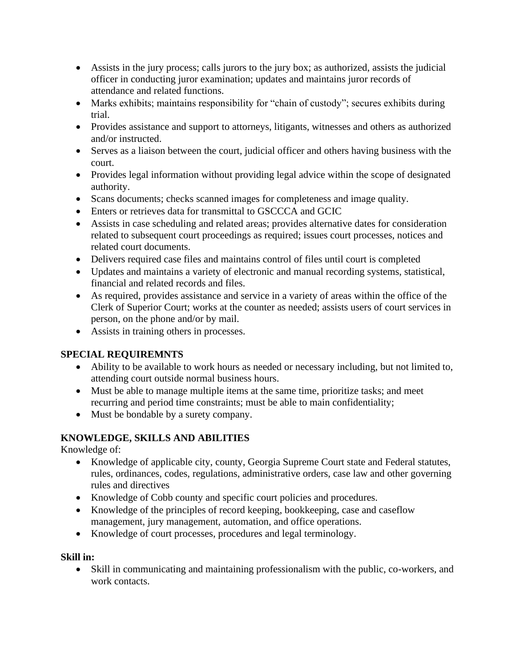- Assists in the jury process; calls jurors to the jury box; as authorized, assists the judicial officer in conducting juror examination; updates and maintains juror records of attendance and related functions.
- Marks exhibits; maintains responsibility for "chain of custody"; secures exhibits during trial.
- Provides assistance and support to attorneys, litigants, witnesses and others as authorized and/or instructed.
- Serves as a liaison between the court, judicial officer and others having business with the court.
- Provides legal information without providing legal advice within the scope of designated authority.
- Scans documents; checks scanned images for completeness and image quality.
- Enters or retrieves data for transmittal to GSCCCA and GCIC
- Assists in case scheduling and related areas; provides alternative dates for consideration related to subsequent court proceedings as required; issues court processes, notices and related court documents.
- Delivers required case files and maintains control of files until court is completed
- Updates and maintains a variety of electronic and manual recording systems, statistical, financial and related records and files.
- As required, provides assistance and service in a variety of areas within the office of the Clerk of Superior Court; works at the counter as needed; assists users of court services in person, on the phone and/or by mail.
- Assists in training others in processes.

# **SPECIAL REQUIREMNTS**

- Ability to be available to work hours as needed or necessary including, but not limited to, attending court outside normal business hours.
- Must be able to manage multiple items at the same time, prioritize tasks; and meet recurring and period time constraints; must be able to main confidentiality;
- Must be bondable by a surety company.

# **KNOWLEDGE, SKILLS AND ABILITIES**

Knowledge of:

- Knowledge of applicable city, county, Georgia Supreme Court state and Federal statutes, rules, ordinances, codes, regulations, administrative orders, case law and other governing rules and directives
- Knowledge of Cobb county and specific court policies and procedures.
- Knowledge of the principles of record keeping, bookkeeping, case and caseflow management, jury management, automation, and office operations.
- Knowledge of court processes, procedures and legal terminology.

### **Skill in:**

• Skill in communicating and maintaining professionalism with the public, co-workers, and work contacts.